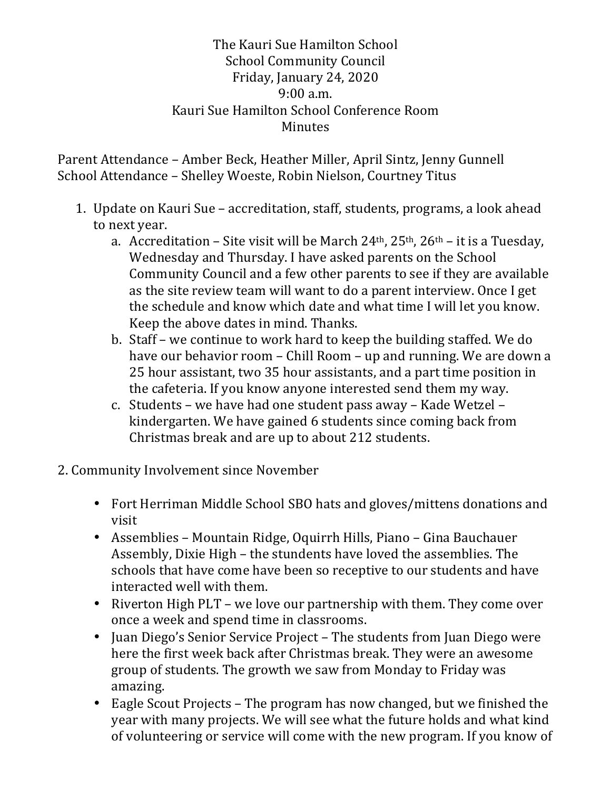## The Kauri Sue Hamilton School School Community Council Friday, January 24, 2020 9:00 a.m. Kauri Sue Hamilton School Conference Room Minutes

Parent Attendance – Amber Beck, Heather Miller, April Sintz, Jenny Gunnell School Attendance - Shelley Woeste, Robin Nielson, Courtney Titus

- 1. Update on Kauri Sue accreditation, staff, students, programs, a look ahead to next year.
	- a. Accreditation Site visit will be March 24<sup>th</sup>, 25<sup>th</sup>, 26<sup>th</sup> it is a Tuesday, Wednesday and Thursday. I have asked parents on the School Community Council and a few other parents to see if they are available as the site review team will want to do a parent interview. Once I get the schedule and know which date and what time I will let you know. Keep the above dates in mind. Thanks.
	- b. Staff we continue to work hard to keep the building staffed. We do have our behavior room - Chill Room - up and running. We are down a 25 hour assistant, two 35 hour assistants, and a part time position in the cafeteria. If you know anyone interested send them my way.
	- c. Students we have had one student pass away Kade Wetzel kindergarten. We have gained 6 students since coming back from Christmas break and are up to about 212 students.
- 2. Community Involvement since November
	- Fort Herriman Middle School SBO hats and gloves/mittens donations and visit
	- Assemblies Mountain Ridge, Oquirrh Hills, Piano Gina Bauchauer Assembly, Dixie High – the stundents have loved the assemblies. The schools that have come have been so receptive to our students and have interacted well with them.
	- Riverton High PLT we love our partnership with them. They come over once a week and spend time in classrooms.
	- Juan Diego's Senior Service Project The students from Juan Diego were here the first week back after Christmas break. They were an awesome group of students. The growth we saw from Monday to Friday was amazing.
	- Eagle Scout Projects The program has now changed, but we finished the year with many projects. We will see what the future holds and what kind of volunteering or service will come with the new program. If you know of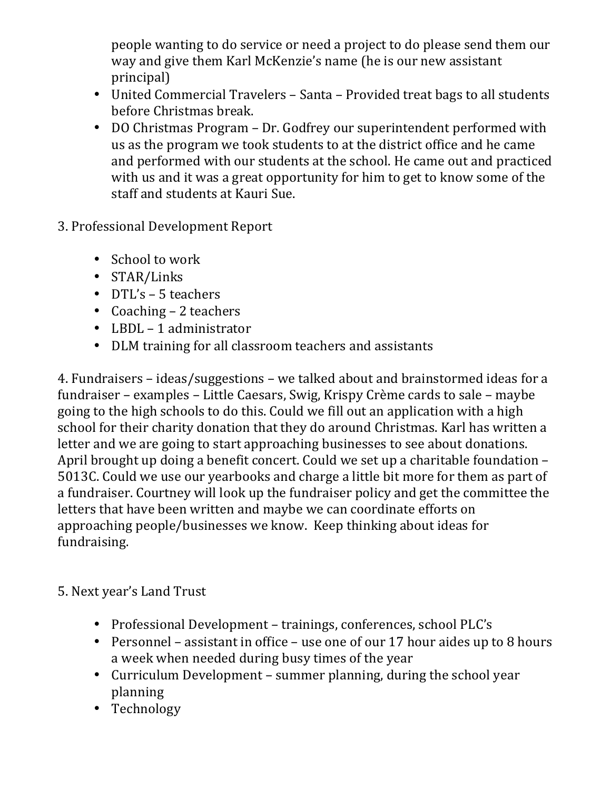people wanting to do service or need a project to do please send them our way and give them Karl McKenzie's name (he is our new assistant principal)

- United Commercial Travelers Santa Provided treat bags to all students before Christmas break.
- DO Christmas Program Dr. Godfrey our superintendent performed with us as the program we took students to at the district office and he came and performed with our students at the school. He came out and practiced with us and it was a great opportunity for him to get to know some of the staff and students at Kauri Sue.
- 3. Professional Development Report
	- School to work
	- STAR/Links
	- DTL's  $-$  5 teachers
	- Coaching  $-2$  teachers
	- LBDL 1 administrator
	- DLM training for all classroom teachers and assistants

4. Fundraisers – ideas/suggestions – we talked about and brainstormed ideas for a fundraiser – examples – Little Caesars, Swig, Krispy Crème cards to sale – maybe going to the high schools to do this. Could we fill out an application with a high school for their charity donation that they do around Christmas. Karl has written a letter and we are going to start approaching businesses to see about donations. April brought up doing a benefit concert. Could we set up a charitable foundation -5013C. Could we use our yearbooks and charge a little bit more for them as part of a fundraiser. Courtney will look up the fundraiser policy and get the committee the letters that have been written and maybe we can coordinate efforts on approaching people/businesses we know. Keep thinking about ideas for fundraising.

## 5. Next year's Land Trust

- Professional Development trainings, conferences, school PLC's
- Personnel assistant in office use one of our 17 hour aides up to 8 hours a week when needed during busy times of the year
- Curriculum Development summer planning, during the school year planning
- Technology